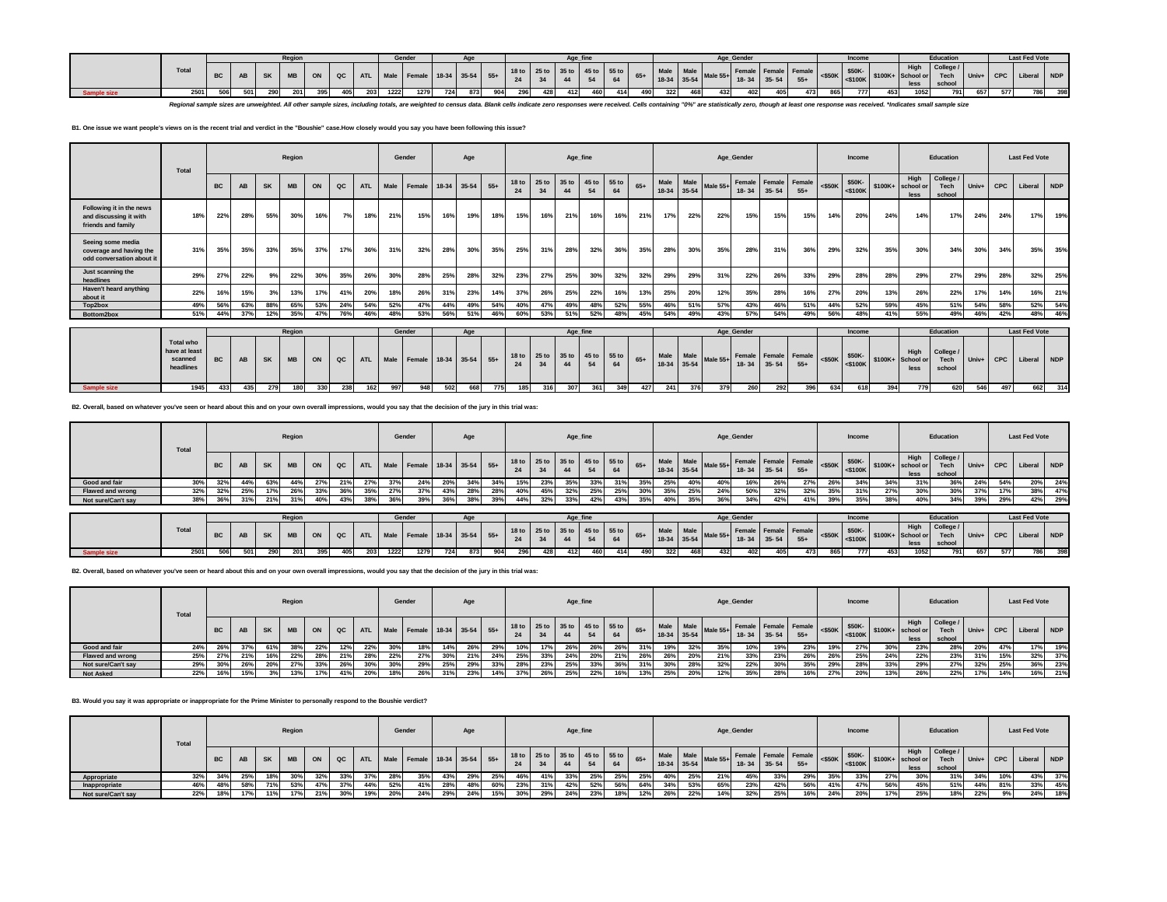|                    |              |           |     |          | Regio |     |     |          | Gender       |  |     |         |     |     |     |     |     |     |     | Age Gender |     |     |     | Incom |     |             | Education                                                                                                                                                                                                                                  |     |     | <b>Last Fed Vote</b> |     |
|--------------------|--------------|-----------|-----|----------|-------|-----|-----|----------|--------------|--|-----|---------|-----|-----|-----|-----|-----|-----|-----|------------|-----|-----|-----|-------|-----|-------------|--------------------------------------------------------------------------------------------------------------------------------------------------------------------------------------------------------------------------------------------|-----|-----|----------------------|-----|
|                    | <b>Total</b> | <b>BC</b> |     | AB SK MB |       |     |     |          |              |  |     |         |     |     |     |     |     |     |     |            |     |     |     |       |     | <b>High</b> | College /<br>  ON   QC   ATL   Male   Female   18-34   35-54   55+   18to   25 to   35 to   45 to   55 to   65+   Male   Male   Male   Male   Female   Female   Female   Female   4500K   \$100K+   \$100K+   School or Tech   Univ+   CPC |     |     |                      |     |
| <b>Sample size</b> | 2501         | 506       | 501 | 290      | 201   | 395 | 405 | 203 1222 | 1279 724 873 |  | 904 | 296 428 | 412 | 460 | 414 | 490 | 322 | 468 | 432 | 402        | 405 | 473 | 865 | 777   | 453 | 1052        | 791                                                                                                                                                                                                                                        | 657 | 577 | 786                  | 398 |

Regional sample sizes are unweighted. All other sample sizes, including totals, are weighted to census data. Blank cells indicate zero responses were received. Cells containing "0%" are statistically zero, though at least

## **B1. One issue we want people's views on is the recent trial and verdict in the "Boushie" case.How closely would you say you have been following this issue?**

|                                                                           | Total                                                     |           |     |           | Region    |     |     |            |             | Gender                 |       | Age       |       |                        |             |                  | Age_fine    |             |       |      |                          |            | Age_Gender                        |           |                               |           | Income               |                                 |                           | Education                   |       |            | <b>Last Fed Vote</b> |     |
|---------------------------------------------------------------------------|-----------------------------------------------------------|-----------|-----|-----------|-----------|-----|-----|------------|-------------|------------------------|-------|-----------|-------|------------------------|-------------|------------------|-------------|-------------|-------|------|--------------------------|------------|-----------------------------------|-----------|-------------------------------|-----------|----------------------|---------------------------------|---------------------------|-----------------------------|-------|------------|----------------------|-----|
|                                                                           |                                                           | <b>BC</b> | AB  | <b>SK</b> | <b>MB</b> | ON  | QC  | <b>ATL</b> | <b>Male</b> | Female                 | 18-34 | $35 - 54$ | $55+$ | 18 to<br>24            | 25 to<br>34 | 35 to<br>44      | 45 to<br>54 | 55 to<br>64 | $65+$ | Male | Male<br>18-34 35-54      | Male $55+$ | Female Female Female<br>$18 - 34$ | $35 - 54$ | $55+$                         | $<$ \$50K | \$50K-<br>$<$ \$100K | $$100K+$                        | High<br>school or<br>less | College /<br>Tech<br>school | Univ+ | <b>CPC</b> | Liberal NDP          |     |
| Following it in the news<br>and discussing it with<br>friends and family  | 18%                                                       | 22%       | 28% | 55%       | 30%       | 16% | 7%  | 18%        | 21%         | 15%                    | 16%   | 19%       | 18%   | 15%                    | 16%         | 21%              | 16%         | 16%         | 21%   | 17%  | 22%                      | 22%        | 15%                               | 15%       | 15%                           | 14%       | 20%                  | 24%                             | 14%                       | 17%                         | 24%   | 24%        | 17%                  | 19% |
| Seeing some media<br>coverage and having the<br>odd conversation about it | 31%                                                       | 35%       | 35% | 33%       | 35%       | 37% | 17% | 36%        | 31%         | 32%                    | 28%   | 30%       | 35%   | 25%                    | 31%         | 28%              | 32%         | 36%         | 35%   | 28%  | 30%                      | 35%        | 28%                               | 31%       | 36%                           | 29%       | 32%                  | 35%                             | 30%                       | 34%                         | 30%   | 34%        | 35%                  | 35% |
| Just scanning the<br>headlines                                            | 29%                                                       | 27%       | 22% | 9%        | 22%       | 30% | 35% | 26%        | 30%         | 28%                    | 25%   | 28%       | 32%   | 23%                    | 27%         | 25%              | 30%         | 32%         | 32%   | 29%  | 29%                      | 31%        | 22%                               | 26%       | 33%                           | 29%       | 28%                  | 28%                             | 29%                       | 27%                         | 29%   | 28%        | 32%                  | 25% |
| Haven't heard anything<br>about it                                        | 22%                                                       | 16%       | 15% |           | 13%       | 17% | 41% | 20%        | 18%         | 26%                    | 31%   | 23%       | 14%   | 37%                    | 26%         | 25%              | 22%         | 16%         | 13%   | 25%  | 20%                      | 12%        | 35%                               | 28%       | 16%                           | 27%       | 20%                  | 13 <sup>9</sup>                 | 26%                       | 22%                         | 17%   | 14%        | 16%                  | 21% |
| Top2box                                                                   | 49%                                                       | 56%       | 63% | 88°       | 65%       | 53% | 24% | 54%        | 52%         | 47%                    | 44%   | 49%       | 54%   | 40%                    | 47%         | 49%              | 48%         | 52%         | 55%   | 46%  | 51%                      | 57%        | 43%                               | 46%       | 51%                           | 44%       | 52%                  | 59%                             | 45%                       | 51%                         | 54%   | 58%        | 52%                  | 54% |
| Bottom2box                                                                | 51%                                                       | 44%       | 37% | 12%       | 35%       | 47% | 76% | 46%        | 48%         | 53%                    | 56%   | 51%       | 46%   | 60%                    | 53%         | 51%              | 52%         | 48%         | 45%   | 54%  | 49%                      | 43%        | 57%                               | 54%       | 49%                           | 56%       | 48%                  | 41%                             | 55%                       | 49%                         | 46%   | 42%        | 48%                  | 46% |
|                                                                           |                                                           |           |     |           |           |     |     |            |             |                        |       |           |       |                        |             |                  |             |             |       |      |                          |            |                                   |           |                               |           |                      |                                 |                           |                             |       |            |                      |     |
|                                                                           |                                                           |           |     |           | Region    |     |     |            |             | Gender                 |       | Age       |       |                        |             |                  | Age_fine    |             |       |      |                          |            | Age Gender                        |           |                               |           | Income               |                                 |                           | Education                   |       |            | <b>Last Fed Vote</b> |     |
|                                                                           | <b>Total who</b><br>have at least<br>scanned<br>headlines | BC        | AB  | <b>SK</b> | <b>MB</b> | ON  | QC  |            | ATL Male    | Female 18-34 35-54 55+ |       |           |       | 18 <sub>to</sub><br>24 | 25 to<br>34 | 35 <sub>to</sub> | 45 to       | 55 to<br>64 | $65+$ |      | Male Male<br>18-34 35-54 | Male 55+   | $18 - 34$                         | $35 - 54$ | Female Female Female<br>$55+$ | $<$ \$50K | \$50K-               | $\frac{1}{2}$ <\$100K   \$100K+ | High<br>School or<br>less | College /<br>Tech<br>school | Univ+ | <b>CPC</b> | Liberal NDP          |     |
| Sample size                                                               | 1945                                                      | 433       | 435 | 279       | 180       | 330 | 238 | 162        | 997         | 948                    | 502   | 668       | 775   | 185                    | 316         | 307              | 361         | 349         | 427   | 241  | 376                      | 379        | 260                               | 292       | 396                           | 634       | 618                  | 394                             | 779                       | 620                         | 546   | 497        | 662                  | 314 |

**B2. Overall, based on whatever you've seen or heard about this and on your own overall impressions, would you say that the decision of the jury in this trial was:**

|                    | Total |           |           |           | Region    |     |     |            |     | Gender                      |     | Age |     |                                                    |     | Age_fine |     |     |     |     |                            |            | Age_Gender  |     |                               |     | Income |     |                                                                 | Education                   |         |     | <b>Last Fed Vote</b> |     |
|--------------------|-------|-----------|-----------|-----------|-----------|-----|-----|------------|-----|-----------------------------|-----|-----|-----|----------------------------------------------------|-----|----------|-----|-----|-----|-----|----------------------------|------------|-------------|-----|-------------------------------|-----|--------|-----|-----------------------------------------------------------------|-----------------------------|---------|-----|----------------------|-----|
|                    |       | <b>BC</b> | <b>AB</b> | <b>SK</b> | <b>MB</b> | ON  | QC  | <b>ATL</b> |     | Male Female 18-34 35-54 55+ |     |     |     | $-7.$ 18 to 25 to 35 to 45 to 55 to 65+ Male<br>24 | 34  |          |     | 64  |     |     | Male Male<br>$18-34$ 35-54 | Male $55+$ | 18-34 35-54 |     | Female Female Female<br>$55+$ |     |        |     | High<br>$\frac{$50K}{100K}$ \$50K-<br>\$100K+ school or<br>less | College /<br>Tech<br>school | $Univ+$ |     | CPC Liberal NDP      |     |
| Good and fair      |       | 32%       |           | 63%       | 44%       | 27% | 21% | 27%        |     | 24%                         | 20% |     |     | 15%                                                | 23% | 35%      | 33% | 31% | 35% | 25% | 40%                        | 40%        | 16%         | 26% | 27%                           | 26% | 34%    |     | 31%                                                             | 36%                         | 24%     | 54% | 20%                  | 24% |
| Flawed and wrong   | 32%   | 32%       | 25%       |           | 26%       | 33% | 36% | 35%        | 27% | 37%                         | 43% | 28% | 28% | 40%                                                | 45% | -327     | 25% | 25% | 30% | 35% | 25%                        | 24%        | 50%         | 32% | 32%                           | 35% | 31%    | 27% | 30%                                                             | 30%                         | 37%     | 17% | 38%                  | 47% |
| Not sure/Can't sav |       | 36%       | 31%       | 21%       | 31%       | 40% | 43% | 38%        |     | 39%                         | 36% | 38% | 39% | 44%                                                | 32% | 33%      | 42% | 43% | 35% | 40% | 35%                        | 36%        | 34%         | 42% | 41%                           | 39% | 35%    |     | 40%                                                             | 34%                         | 39%     | 29% | 42%                  | 29% |

|                    |       |     |     |       | Region |         |     |          | Gender |     |     |         |     | Age fine |     |     |     |     |     |     | Age Gender |     |     |     | Income |     |      | <b>Education</b>                                                                                                                                                                                                   |     |     | <b>Last Fed Vote</b> |     |
|--------------------|-------|-----|-----|-------|--------|---------|-----|----------|--------|-----|-----|---------|-----|----------|-----|-----|-----|-----|-----|-----|------------|-----|-----|-----|--------|-----|------|--------------------------------------------------------------------------------------------------------------------------------------------------------------------------------------------------------------------|-----|-----|----------------------|-----|
|                    | Total |     | AB  |       |        |         |     |          |        |     |     |         |     |          |     |     |     |     |     |     |            |     |     |     |        |     | less | College /<br>K MB ON QC ATL Male Female 18-34 35-54 55+ 18to 25to 35to 45to 55to 65+ Male Male Male Female Female Female Female 4550K- \$50K- \$50K- \$100K+ St00K+ St00K+ General Univ+ CPC Liberal NDP<br>school |     |     |                      |     |
| <b>Sample size</b> | 2501  | 506 | 501 | 290 l |        | 201 395 | 405 | 203 1222 | 1279   | 724 | 873 | 904 296 | 428 | 412      | 460 | 414 | 490 | 322 | 468 | 432 | 402        | 405 | 473 | 865 | 777    | 453 | 1052 | 7911                                                                                                                                                                                                               | 657 | 577 | 786                  | 398 |

**B2. Overall, based on whatever you've seen or heard about this and on your own overall impressions, would you say that the decision of the jury in this trial was:**

|                    | Total        |           |     |     | Region    |     |              |            |              | Gender                      |            | Age |     |                               |     |      | Age_fine |     |       |     |                          |          | Age_Gender    |     |                      |     | Income |       |                                                                                                             | Education                   |         |            | <b>Last Fed Vote</b> |     |
|--------------------|--------------|-----------|-----|-----|-----------|-----|--------------|------------|--------------|-----------------------------|------------|-----|-----|-------------------------------|-----|------|----------|-----|-------|-----|--------------------------|----------|---------------|-----|----------------------|-----|--------|-------|-------------------------------------------------------------------------------------------------------------|-----------------------------|---------|------------|----------------------|-----|
|                    |              | <b>BC</b> | AB  |     | <b>MB</b> | ON  | QC           | <b>ATL</b> |              | Male Female 18-34 35-54 55+ |            |     |     | 18 to 25 to 35 to 45 to 55 to |     |      |          | 64  | $65+$ |     | Male Male<br>18-34 35-54 | Male 55+ | $18-34$ 35-54 |     | Female Female Female |     |        |       | High<br>$\frac{1}{2}$ remale $\frac{1}{2}$ = \$50K $\frac{1}{2}$ \$100K + school or $\frac{1}{2}$ =<br>less | College /<br>Tech<br>school | $Univ+$ | <b>CPC</b> | Liberal NDP          |     |
| Good and fair      | $\mathbf{A}$ | 26%       |     | 61% | 38%       | 22% | 12%          | 22%        |              | 18%                         | 14%        | 26% | 29% | 10%                           | 17% | 26%  |          | 26% | 31%   | 19% | 32%                      | 35%      | 10%           | 19% | 23%                  | 19% | 27%    | 30%   | 23%                                                                                                         | 28%                         | 20%     | 47%        | 17%                  | 19% |
| Flawed and wrong   | 25%          | 27%       |     | 16% | 22%       | 28% | 0.401<br>217 | 28%        | $22^{\circ}$ | 27%                         |            |     | 24% | 25%                           | 33% |      |          | 21% | 26%   | 26% | 20%                      | 21%      | 33%           | 23% | 26%                  | 26% | 25%    | $4\%$ | 22%                                                                                                         | 23%                         | 31%     | 15%        | 32%                  | 37% |
| Not sure/Can't say |              | 30%       |     |     | 27%       | 33% | 26%          | 30%        |              | 29%                         | <b>25%</b> |     | 33% | 28%                           | 23% | -457 | 33%      | 36% | 31%   | 30% | 28%                      | 32%      | 22%           | 30% | 35%                  | 29% | 28%    | 33%   | 29%                                                                                                         | 27%                         | 32%     | 25%        | 36%                  | 23% |
| <b>Not Asked</b>   | 2270         | 16%       | 15% |     | 13%       | 17% | 41%          | 20%        |              | 26%                         | 31%        | 23% | 14% | 37%                           | 26% | or.  | 22%      | 16% | 13%   | 25% | 20%                      | 12%      | 35%           | 28% | 16%                  | 27% | 20%    |       | 26%                                                                                                         | 22%                         | 17%     | 14%        | 16%                  | 21% |

## **B3. Would you say it was appropriate or inappropriate for the Prime Minister to personally respond to the Boushie verdict?**

|                    | Total |           |     |           | Region    |     |     |            |     | Gender                      |     | Age |     |                               |     |     | Age_fine |     |       |     |           |     | Age_Gender |     |     |                                                              |     | Income |     |                                                                                                                                                                       | Education                   |           |            | <b>Last Fed Vote</b> |     |
|--------------------|-------|-----------|-----|-----------|-----------|-----|-----|------------|-----|-----------------------------|-----|-----|-----|-------------------------------|-----|-----|----------|-----|-------|-----|-----------|-----|------------|-----|-----|--------------------------------------------------------------|-----|--------|-----|-----------------------------------------------------------------------------------------------------------------------------------------------------------------------|-----------------------------|-----------|------------|----------------------|-----|
|                    |       | <b>BC</b> | AB  | <b>SK</b> | <b>MB</b> | ON  | QC  | <b>ATL</b> |     | Male Female 18-34 35-54 55+ |     |     |     | 18 to 25 to 35 to 45 to 55 to | 34  |     |          | 64  | $65+$ |     | Male Male |     |            |     |     | Female Female Female<br>18-34 35-54 Male 55+ 18-34 35-54 55+ |     |        |     | High<br>$\sim$ and I Female $\left  \begin{array}{cc} \text{0.50K} & \text{0.50K} \\ \text{0.50K} & \text{0.50K} \end{array} \right $ \$100K+ school or I and<br>less | College /<br>Tech<br>school | $ $ Univ+ | <b>CPC</b> | Liberal NDP          |     |
| Appropriate        |       | 34%       | 25% |           | 30%       | 32% | 33% | 37%        | 28% | 35%                         | 43% | 29% | 25% | 46%                           |     |     | 25%      | 25% | 25%   | 40% |           | 25% | 21%        | 45% | 33% | 29%                                                          | 35% | 33%    | 27% | 30%                                                                                                                                                                   | 31%                         | 34%       | 10%        | 43%                  | 37% |
| Inappropriate      |       |           | 58% |           | 53%       | 47% | 37% | 44%        | 52% | 41%                         | 28% | 48% | 60% | 23%                           | 31% |     | 52%      | 56% | 64%   | 34% |           | 53% | 65%        | 23% | 42% | 56%                                                          | 41% | 47%    | 56% | 45%                                                                                                                                                                   | 51%                         | 44%       | 81%        | 33%                  | 45% |
| Not sure/Can't say | 22%   | 18%       | 17% | 11%       | 17%       | 21% | 30% | 19%        | 20% | 24%                         | 29% | 24% | 15% | 30%                           | 29% | 24% | 23%      | 18% | 12%   | 26% |           | 22% | 14%        | 32% | 25% | 16%                                                          | 24% | 20%    |     | 25%                                                                                                                                                                   | 18%                         | 22%       | 9%         | 24%                  | 18% |